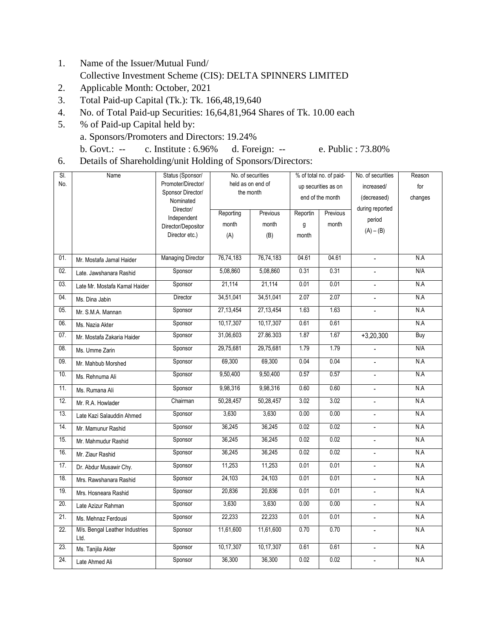- 1. Name of the Issuer/Mutual Fund/ Collective Investment Scheme (CIS): DELTA SPINNERS LIMITED
- 2. Applicable Month: October, 2021
- 3. Total Paid-up Capital (Tk.): Tk. 166,48,19,640
- 4. No. of Total Paid-up Securities: 16,64,81,964 Shares of Tk. 10.00 each
- 5. % of Paid-up Capital held by: a. Sponsors/Promoters and Directors: 19.24% b. Govt.: -- c. Institute : 6.96% d. Foreign: -- e. Public : 73.80%
	-
- 6. Details of Shareholding/unit Holding of Sponsors/Directors:

| SI. | Name                                   | Status (Sponsor/                        | No. of securities                 |             | % of total no. of paid- |                 | No. of securities        | Reason     |
|-----|----------------------------------------|-----------------------------------------|-----------------------------------|-------------|-------------------------|-----------------|--------------------------|------------|
| No. |                                        | Promoter/Director/<br>Sponsor Director/ | held as on end of<br>the month    |             | up securities as on     |                 | increased/               | for        |
|     |                                        | Nominated                               |                                   |             | end of the month        |                 | (decreased)              | changes    |
|     |                                        | Director/                               | Reporting<br>Reportin<br>Previous |             | Previous                | during reported |                          |            |
|     |                                        | Independent<br>Director/Depositor       | month                             | month       | g                       | month           | period                   |            |
|     |                                        | Director etc.)                          | (A)                               | (B)         | month                   |                 | $(A) - (B)$              |            |
|     |                                        |                                         |                                   |             |                         |                 |                          |            |
| 01. | Mr. Mostafa Jamal Haider               | <b>Managing Director</b>                | 76,74,183                         | 76,74,183   | 04.61                   | 04.61           |                          | N.A        |
| 02. | Late. Jawshanara Rashid                | Sponsor                                 | 5,08,860                          | 5,08,860    | 0.31                    | 0.31            |                          | N/A        |
| 03. | Late Mr. Mostafa Kamal Haider          | Sponsor                                 | 21,114                            | 21,114      | 0.01                    | 0.01            | $\overline{a}$           | N.A        |
| 04. | Ms. Dina Jabin                         | Director                                | 34,51,041                         | 34,51,041   | 2.07                    | 2.07            | $\overline{\phantom{a}}$ | N.A        |
| 05. | Mr. S.M.A. Mannan                      | Sponsor                                 | 27,13,454                         | 27, 13, 454 | 1.63                    | 1.63            | $\overline{\phantom{a}}$ | N.A        |
| 06. | Ms. Nazia Akter                        | Sponsor                                 | 10,17,307                         | 10,17,307   | 0.61                    | 0.61            |                          | N.A        |
| 07. | Mr. Mostafa Zakaria Haider             | Sponsor                                 | 31,06,603                         | 27.86.303   | 1.87                    | 1.67            | $+3,20,300$              | <b>Buy</b> |
| 08. | Ms. Umme Zarin                         | Sponsor                                 | 29,75,681                         | 29,75,681   | 1.79                    | 1.79            |                          | N/A        |
| 09. | Mr. Mahbub Morshed                     | Sponsor                                 | 69,300                            | 69,300      | 0.04                    | 0.04            |                          | N.A        |
| 10. | Ms. Rehnuma Ali                        | Sponsor                                 | 9,50,400                          | 9,50,400    | 0.57                    | 0.57            | $\overline{a}$           | N.A        |
| 11. | Ms. Rumana Ali                         | Sponsor                                 | 9,98,316                          | 9,98,316    | 0.60                    | 0.60            | $\blacksquare$           | N.A        |
| 12. | Mr. R.A. Howlader                      | Chairman                                | 50,28,457                         | 50,28,457   | 3.02                    | 3.02            | $\overline{a}$           | N.A        |
| 13. | Late Kazi Salauddin Ahmed              | Sponsor                                 | 3,630                             | 3,630       | 0.00                    | 0.00            | $\blacksquare$           | N.A        |
| 14. | Mr. Mamunur Rashid                     | Sponsor                                 | 36,245                            | 36,245      | 0.02                    | 0.02            | $\blacksquare$           | N.A        |
| 15. | Mr. Mahmudur Rashid                    | Sponsor                                 | 36,245                            | 36,245      | 0.02                    | 0.02            |                          | N.A        |
| 16. | Mr. Ziaur Rashid                       | Sponsor                                 | 36,245                            | 36,245      | 0.02                    | 0.02            | $\overline{\phantom{a}}$ | N.A        |
| 17. | Dr. Abdur Musawir Chy.                 | Sponsor                                 | 11,253                            | 11,253      | 0.01                    | 0.01            |                          | N.A        |
| 18. | Mrs. Rawshanara Rashid                 | Sponsor                                 | 24,103                            | 24,103      | 0.01                    | 0.01            | $\overline{a}$           | N.A        |
| 19. | Mrs. Hosneara Rashid                   | Sponsor                                 | 20,836                            | 20,836      | 0.01                    | 0.01            | $\sim$                   | N.A        |
| 20. | Late Azizur Rahman                     | Sponsor                                 | 3,630                             | 3,630       | 0.00                    | 0.00            | $\blacksquare$           | N.A        |
| 21. | Ms. Mehnaz Ferdousi                    | Sponsor                                 | 22,233                            | 22,233      | 0.01                    | 0.01            | $\overline{\phantom{a}}$ | N.A        |
| 22. | M/s. Bengal Leather Industries<br>Ltd. | Sponsor                                 | 11,61,600                         | 11,61,600   | 0.70                    | 0.70            |                          | N.A        |
| 23. | Ms. Tanjila Akter                      | Sponsor                                 | 10,17,307                         | 10,17,307   | 0.61                    | 0.61            | $\blacksquare$           | N.A        |
| 24. | Late Ahmed Ali                         | Sponsor                                 | 36,300                            | 36,300      | 0.02                    | 0.02            | $\sim$                   | N.A        |